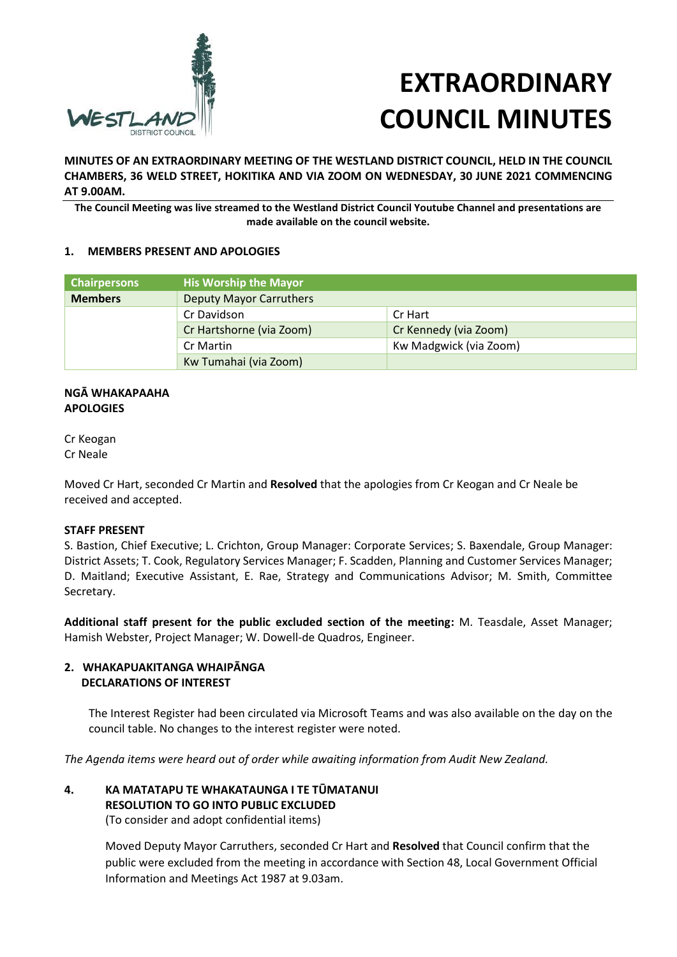

# **EXTRAORDINARY COUNCIL MINUTES**

**MINUTES OF AN EXTRAORDINARY MEETING OF THE WESTLAND DISTRICT COUNCIL, HELD IN THE COUNCIL CHAMBERS, 36 WELD STREET, HOKITIKA AND VIA ZOOM ON WEDNESDAY, 30 JUNE 2021 COMMENCING AT 9.00AM.**

**The Council Meeting was live streamed to the Westland District Council Youtube Channel and presentations are made available on the council website.**

## **1. MEMBERS PRESENT AND APOLOGIES**

| <b>Chairpersons</b> | <b>His Worship the Mayor</b>   |                        |
|---------------------|--------------------------------|------------------------|
| <b>Members</b>      | <b>Deputy Mayor Carruthers</b> |                        |
|                     | Cr Davidson                    | Cr Hart                |
|                     | Cr Hartshorne (via Zoom)       | Cr Kennedy (via Zoom)  |
|                     | Cr Martin                      | Kw Madgwick (via Zoom) |
|                     | Kw Tumahai (via Zoom)          |                        |

## **NGĀ WHAKAPAAHA APOLOGIES**

Cr Keogan Cr Neale

Moved Cr Hart, seconded Cr Martin and **Resolved** that the apologies from Cr Keogan and Cr Neale be received and accepted.

## **STAFF PRESENT**

S. Bastion, Chief Executive; L. Crichton, Group Manager: Corporate Services; S. Baxendale, Group Manager: District Assets; T. Cook, Regulatory Services Manager; F. Scadden, Planning and Customer Services Manager; D. Maitland; Executive Assistant, E. Rae, Strategy and Communications Advisor; M. Smith, Committee Secretary.

**Additional staff present for the public excluded section of the meeting:** M. Teasdale, Asset Manager; Hamish Webster, Project Manager; W. Dowell-de Quadros, Engineer.

# **2. WHAKAPUAKITANGA WHAIPĀNGA DECLARATIONS OF INTEREST**

The Interest Register had been circulated via Microsoft Teams and was also available on the day on the council table. No changes to the interest register were noted.

*The Agenda items were heard out of order while awaiting information from Audit New Zealand.*

# **4. KA MATATAPU TE WHAKATAUNGA I TE TŪMATANUI RESOLUTION TO GO INTO PUBLIC EXCLUDED**

(To consider and adopt confidential items)

Moved Deputy Mayor Carruthers, seconded Cr Hart and **Resolved** that Council confirm that the public were excluded from the meeting in accordance with Section 48, Local Government Official Information and Meetings Act 1987 at 9.03am.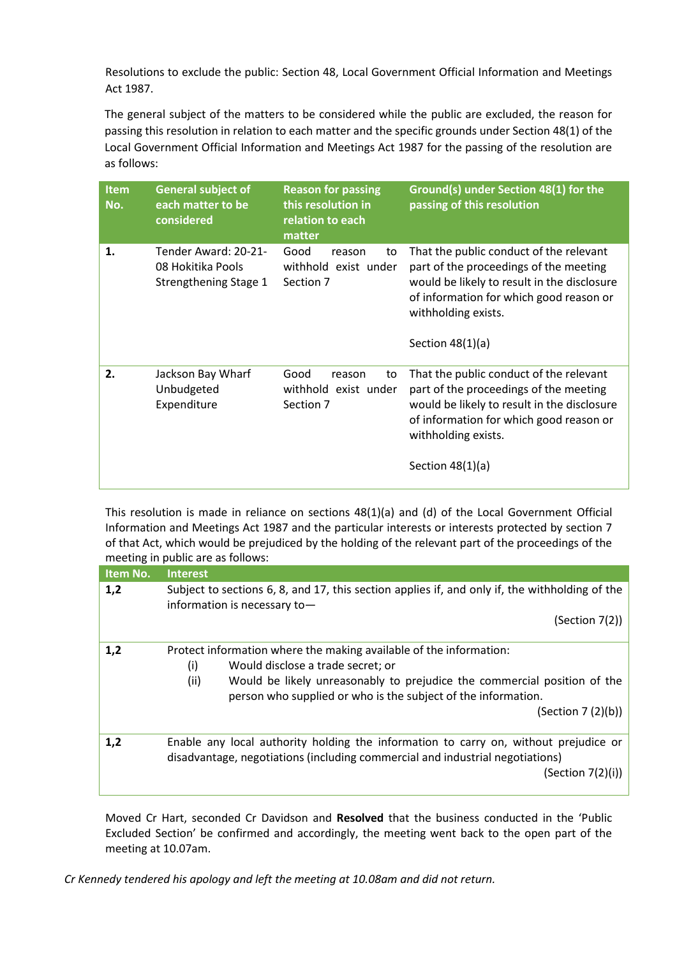Resolutions to exclude the public: Section 48, Local Government Official Information and Meetings Act 1987.

The general subject of the matters to be considered while the public are excluded, the reason for passing this resolution in relation to each matter and the specific grounds under Section 48(1) of the Local Government Official Information and Meetings Act 1987 for the passing of the resolution are as follows:

| <b>Item</b><br>No. | <b>General subject of</b><br>each matter to be<br>considered       | <b>Reason for passing</b><br>this resolution in<br>relation to each<br>matter | Ground(s) under Section 48(1) for the<br>passing of this resolution                                                                                                                                                      |
|--------------------|--------------------------------------------------------------------|-------------------------------------------------------------------------------|--------------------------------------------------------------------------------------------------------------------------------------------------------------------------------------------------------------------------|
| 1.                 | Tender Award: 20-21-<br>08 Hokitika Pools<br>Strengthening Stage 1 | Good<br>reason<br>to<br>withhold exist under<br>Section 7                     | That the public conduct of the relevant<br>part of the proceedings of the meeting<br>would be likely to result in the disclosure<br>of information for which good reason or<br>withholding exists.<br>Section $48(1)(a)$ |
| 2.                 | Jackson Bay Wharf<br>Unbudgeted<br>Expenditure                     | Good<br>reason<br>to<br>withhold exist under<br>Section 7                     | That the public conduct of the relevant<br>part of the proceedings of the meeting<br>would be likely to result in the disclosure<br>of information for which good reason or<br>withholding exists.<br>Section $48(1)(a)$ |

This resolution is made in reliance on sections 48(1)(a) and (d) of the Local Government Official Information and Meetings Act 1987 and the particular interests or interests protected by section 7 of that Act, which would be prejudiced by the holding of the relevant part of the proceedings of the meeting in public are as follows:

| Item No. | <b>Interest</b>                                                                                                                                                                                                                                                                           |  |
|----------|-------------------------------------------------------------------------------------------------------------------------------------------------------------------------------------------------------------------------------------------------------------------------------------------|--|
| 1,2      | Subject to sections 6, 8, and 17, this section applies if, and only if, the withholding of the<br>information is necessary to-                                                                                                                                                            |  |
|          | (Section 7(2))                                                                                                                                                                                                                                                                            |  |
| 1,2      | Protect information where the making available of the information:<br>(i)<br>Would disclose a trade secret; or<br>(ii)<br>Would be likely unreasonably to prejudice the commercial position of the<br>person who supplied or who is the subject of the information.<br>(Section 7 (2)(b)) |  |
| 1,2      | Enable any local authority holding the information to carry on, without prejudice or<br>disadvantage, negotiations (including commercial and industrial negotiations)<br>(Section 7(2)(i))                                                                                                |  |

Moved Cr Hart, seconded Cr Davidson and **Resolved** that the business conducted in the 'Public Excluded Section' be confirmed and accordingly, the meeting went back to the open part of the meeting at 10.07am.

*Cr Kennedy tendered his apology and left the meeting at 10.08am and did not return.*